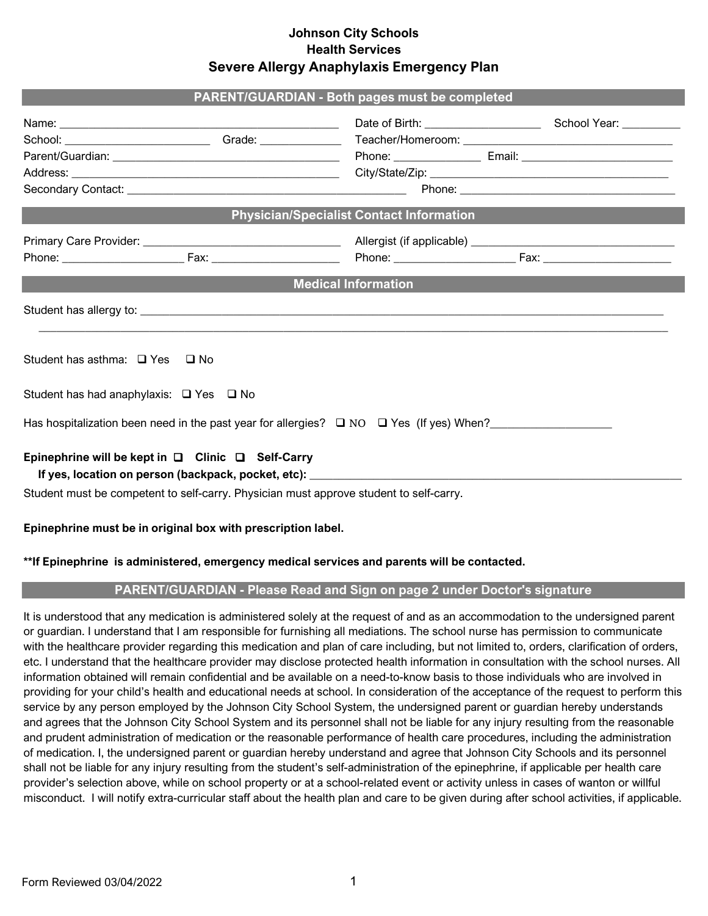### **Johnson City Schools Health Services Severe Allergy Anaphylaxis Emergency Plan**

| <b>PARENT/GUARDIAN - Both pages must be completed</b>                                                          |  |                                                                                                                                                                                                                                |  |  |  |  |  |  |
|----------------------------------------------------------------------------------------------------------------|--|--------------------------------------------------------------------------------------------------------------------------------------------------------------------------------------------------------------------------------|--|--|--|--|--|--|
|                                                                                                                |  |                                                                                                                                                                                                                                |  |  |  |  |  |  |
| School: ___________________________Grade: __________________Teacher/Homeroom: ________________________________ |  |                                                                                                                                                                                                                                |  |  |  |  |  |  |
|                                                                                                                |  | Phone: Email: Email: Email: Email: Email: Email: Email: Email: Email: Email: Email: Email: Email: Email: Email: Email: Email: Email: Email: Email: Email: Email: Email: Email: Email: Email: Email: Email: Email: Email: Email |  |  |  |  |  |  |
|                                                                                                                |  |                                                                                                                                                                                                                                |  |  |  |  |  |  |
|                                                                                                                |  |                                                                                                                                                                                                                                |  |  |  |  |  |  |
| <b>Physician/Specialist Contact Information</b>                                                                |  |                                                                                                                                                                                                                                |  |  |  |  |  |  |
|                                                                                                                |  |                                                                                                                                                                                                                                |  |  |  |  |  |  |
|                                                                                                                |  |                                                                                                                                                                                                                                |  |  |  |  |  |  |
| <b>Medical Information</b>                                                                                     |  |                                                                                                                                                                                                                                |  |  |  |  |  |  |
|                                                                                                                |  |                                                                                                                                                                                                                                |  |  |  |  |  |  |
| Student has asthma: □ Yes □ No                                                                                 |  |                                                                                                                                                                                                                                |  |  |  |  |  |  |
| Student has had anaphylaxis: $\Box$ Yes $\Box$ No                                                              |  |                                                                                                                                                                                                                                |  |  |  |  |  |  |
| Has hospitalization been need in the past year for allergies? $\square$ NO $\square$ Yes (If yes) When?        |  |                                                                                                                                                                                                                                |  |  |  |  |  |  |
| Epinephrine will be kept in $\Box$ Clinic $\Box$ Self-Carry                                                    |  |                                                                                                                                                                                                                                |  |  |  |  |  |  |
|                                                                                                                |  |                                                                                                                                                                                                                                |  |  |  |  |  |  |
| Student must be competent to self-carry. Physician must approve student to self-carry.                         |  |                                                                                                                                                                                                                                |  |  |  |  |  |  |

## **Epinephrine must be in original box with prescription label.**

#### **\*\*If Epinephrine is administered, emergency medical services and parents will be contacted.**

## **PARENT/GUARDIAN - Please Read and Sign on page 2 under Doctor's signature**

It is understood that any medication is administered solely at the request of and as an accommodation to the undersigned parent or guardian. I understand that I am responsible for furnishing all mediations. The school nurse has permission to communicate with the healthcare provider regarding this medication and plan of care including, but not limited to, orders, clarification of orders, etc. I understand that the healthcare provider may disclose protected health information in consultation with the school nurses. All information obtained will remain confidential and be available on a need-to-know basis to those individuals who are involved in providing for your child's health and educational needs at school. In consideration of the acceptance of the request to perform this service by any person employed by the Johnson City School System, the undersigned parent or guardian hereby understands and agrees that the Johnson City School System and its personnel shall not be liable for any injury resulting from the reasonable and prudent administration of medication or the reasonable performance of health care procedures, including the administration of medication. I, the undersigned parent or guardian hereby understand and agree that Johnson City Schools and its personnel shall not be liable for any injury resulting from the student's self-administration of the epinephrine, if applicable per health care provider's selection above, while on school property or at a school-related event or activity unless in cases of wanton or willful misconduct. I will notify extra-curricular staff about the health plan and care to be given during after school activities, if applicable.